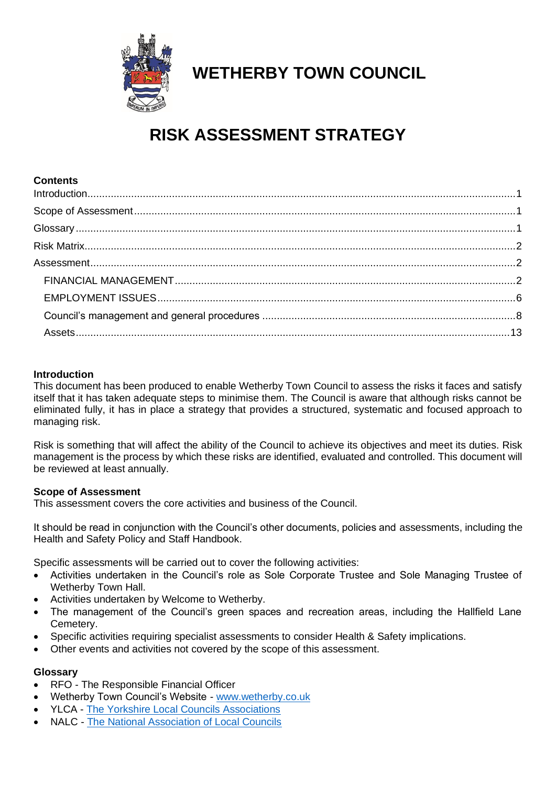

## **WETHERBY TOWN COUNCIL**

# **RISK ASSESSMENT STRATEGY**

| <b>Contents</b> |  |
|-----------------|--|
|                 |  |
|                 |  |
|                 |  |
|                 |  |
|                 |  |
|                 |  |
|                 |  |
|                 |  |
|                 |  |

#### <span id="page-0-0"></span>**Introduction**

This document has been produced to enable Wetherby Town Council to assess the risks it faces and satisfy itself that it has taken adequate steps to minimise them. The Council is aware that although risks cannot be eliminated fully, it has in place a strategy that provides a structured, systematic and focused approach to managing risk.

Risk is something that will affect the ability of the Council to achieve its objectives and meet its duties. Risk management is the process by which these risks are identified, evaluated and controlled. This document will be reviewed at least annually.

#### <span id="page-0-1"></span>**Scope of Assessment**

This assessment covers the core activities and business of the Council.

It should be read in conjunction with the Council's other documents, policies and assessments, including the Health and Safety Policy and Staff Handbook.

Specific assessments will be carried out to cover the following activities:

- Activities undertaken in the Council's role as Sole Corporate Trustee and Sole Managing Trustee of Wetherby Town Hall.
- Activities undertaken by Welcome to Wetherby.
- The management of the Council's green spaces and recreation areas, including the Hallfield Lane Cemetery.
- Specific activities requiring specialist assessments to consider Health & Safety implications.
- <span id="page-0-2"></span>• Other events and activities not covered by the scope of this assessment.

#### **Glossary**

- RFO The Responsible Financial Officer
- Wetherby Town Council's Website [www.wetherby.co.uk](http://www.wetherby.co.uk/)
- YLCA [The Yorkshire Local Councils Associations](http://www.yorkshirelca.gov.uk/Welcome_8327.aspx)
- NALC [The National Association of Local Councils](https://www.nalc.gov.uk/)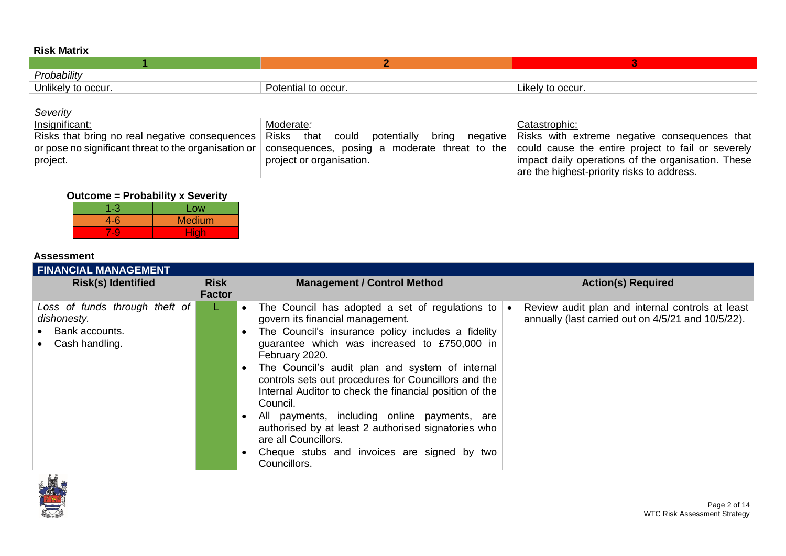| . <i>. .</i> .     |                     |                  |  |  |
|--------------------|---------------------|------------------|--|--|
|                    |                     |                  |  |  |
| Probability        |                     |                  |  |  |
| Unlikely to occur. | Potential to occur. | Likely to occur. |  |  |

| Severity       |                                                                                                                                                       |                                                    |
|----------------|-------------------------------------------------------------------------------------------------------------------------------------------------------|----------------------------------------------------|
| Insignificant: | Moderate:                                                                                                                                             | Catastrophic:                                      |
|                | Risks that bring no real negative consequences Risks that could potentially bring negative Risks with extreme negative consequences that              |                                                    |
|                | or pose no significant threat to the organisation or consequences, posing a moderate threat to the could cause the entire project to fail or severely |                                                    |
| project.       | project or organisation.                                                                                                                              | impact daily operations of the organisation. These |
|                |                                                                                                                                                       | are the highest-priority risks to address.         |

### **Outcome = Probability x Severity**

| 1-3         | Low           |
|-------------|---------------|
| $4 - 6$     | <b>Medium</b> |
| <u>tale</u> | Hiah          |

### **Assessment**

<span id="page-1-0"></span>

| <b>FINANCIAL MANAGEMENT</b>                                                       |                              |                                                                                                                                                                                                                                                                                                                                                                                                                                                                                                                                                                                                   |                                                                                                        |
|-----------------------------------------------------------------------------------|------------------------------|---------------------------------------------------------------------------------------------------------------------------------------------------------------------------------------------------------------------------------------------------------------------------------------------------------------------------------------------------------------------------------------------------------------------------------------------------------------------------------------------------------------------------------------------------------------------------------------------------|--------------------------------------------------------------------------------------------------------|
| <b>Risk(s) Identified</b>                                                         | <b>Risk</b><br><b>Factor</b> | <b>Management / Control Method</b>                                                                                                                                                                                                                                                                                                                                                                                                                                                                                                                                                                | <b>Action(s) Required</b>                                                                              |
| Loss of funds through theft of<br>dishonesty.<br>Bank accounts.<br>Cash handling. | L.                           | • The Council has adopted a set of regulations to<br>govern its financial management.<br>The Council's insurance policy includes a fidelity<br>guarantee which was increased to £750,000 in<br>February 2020.<br>• The Council's audit plan and system of internal<br>controls sets out procedures for Councillors and the<br>Internal Auditor to check the financial position of the<br>Council.<br>All payments, including online payments, are<br>authorised by at least 2 authorised signatories who<br>are all Councillors.<br>• Cheque stubs and invoices are signed by two<br>Councillors. | Review audit plan and internal controls at least<br>annually (last carried out on 4/5/21 and 10/5/22). |

<span id="page-1-2"></span><span id="page-1-1"></span>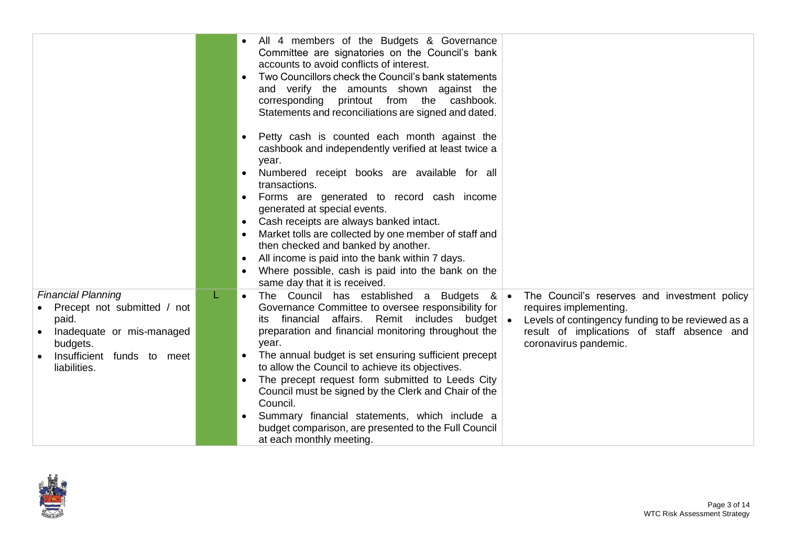|                                                                                                                                                          | All 4 members of the Budgets & Governance<br>Committee are signatories on the Council's bank<br>accounts to avoid conflicts of interest.<br>Two Councillors check the Council's bank statements<br>$\bullet$<br>and verify the amounts shown against the<br>corresponding printout from the<br>cashbook.<br>Statements and reconciliations are signed and dated.                                                                                                                                                                                                                                                                                                                                                                                                                                                                                         |
|----------------------------------------------------------------------------------------------------------------------------------------------------------|----------------------------------------------------------------------------------------------------------------------------------------------------------------------------------------------------------------------------------------------------------------------------------------------------------------------------------------------------------------------------------------------------------------------------------------------------------------------------------------------------------------------------------------------------------------------------------------------------------------------------------------------------------------------------------------------------------------------------------------------------------------------------------------------------------------------------------------------------------|
|                                                                                                                                                          | Petty cash is counted each month against the<br>$\bullet$<br>cashbook and independently verified at least twice a<br>year.<br>Numbered receipt books are available for all<br>$\bullet$<br>transactions.<br>Forms are generated to record cash income<br>$\bullet$<br>generated at special events.<br>Cash receipts are always banked intact.<br>$\bullet$<br>Market tolls are collected by one member of staff and<br>$\bullet$<br>then checked and banked by another.<br>All income is paid into the bank within 7 days.<br>$\bullet$<br>Where possible, cash is paid into the bank on the<br>same day that it is received.                                                                                                                                                                                                                            |
| <b>Financial Planning</b><br>Precept not submitted / not<br>paid.<br>Inadequate or mis-managed<br>budgets.<br>Insufficient funds to meet<br>liabilities. | The Council has established a Budgets<br>- &<br>The Council's reserves and investment policy<br>$\bullet$<br>$\bullet$<br>Governance Committee to oversee responsibility for<br>requires implementing.<br>financial affairs. Remit includes budget<br>Levels of contingency funding to be reviewed as a<br>ıts<br>preparation and financial monitoring throughout the<br>result of implications of staff absence and<br>year.<br>coronavirus pandemic.<br>The annual budget is set ensuring sufficient precept<br>to allow the Council to achieve its objectives.<br>The precept request form submitted to Leeds City<br>$\bullet$<br>Council must be signed by the Clerk and Chair of the<br>Council.<br>Summary financial statements, which include a<br>$\bullet$<br>budget comparison, are presented to the Full Council<br>at each monthly meeting. |

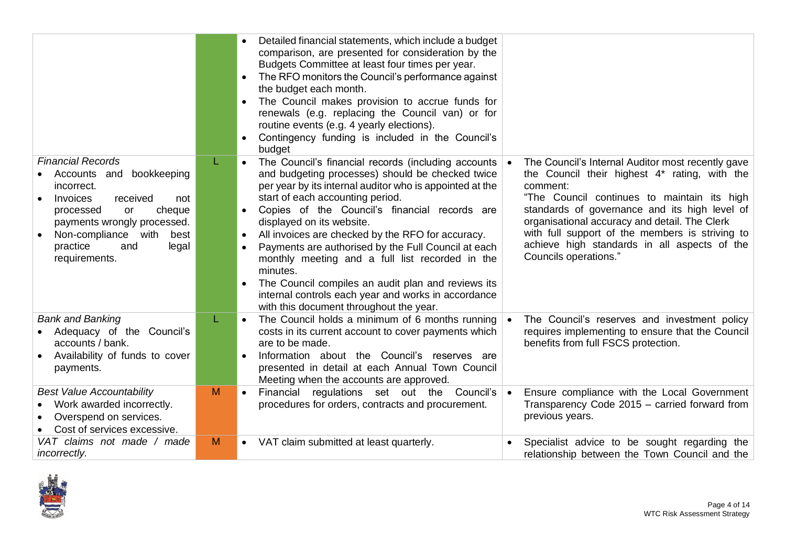|                                                                                                                                                                                                                                                 |   | Detailed financial statements, which include a budget<br>comparison, are presented for consideration by the<br>Budgets Committee at least four times per year.<br>The RFO monitors the Council's performance against<br>$\bullet$<br>the budget each month.<br>The Council makes provision to accrue funds for<br>$\bullet$<br>renewals (e.g. replacing the Council van) or for<br>routine events (e.g. 4 yearly elections).<br>Contingency funding is included in the Council's<br>$\bullet$<br>budget                                                                                                                                                                      |                                                                                                                                                                                                                                                                                                                                                                                             |
|-------------------------------------------------------------------------------------------------------------------------------------------------------------------------------------------------------------------------------------------------|---|------------------------------------------------------------------------------------------------------------------------------------------------------------------------------------------------------------------------------------------------------------------------------------------------------------------------------------------------------------------------------------------------------------------------------------------------------------------------------------------------------------------------------------------------------------------------------------------------------------------------------------------------------------------------------|---------------------------------------------------------------------------------------------------------------------------------------------------------------------------------------------------------------------------------------------------------------------------------------------------------------------------------------------------------------------------------------------|
| <b>Financial Records</b><br>bookkeeping<br>Accounts and<br>incorrect.<br>Invoices<br>received<br>not<br>processed<br>cheque<br>or<br>payments wrongly processed.<br>Non-compliance<br>with<br>best<br>practice<br>and<br>legal<br>requirements. | L | The Council's financial records (including accounts<br>$\bullet$<br>and budgeting processes) should be checked twice<br>per year by its internal auditor who is appointed at the<br>start of each accounting period.<br>Copies of the Council's financial records are<br>$\bullet$<br>displayed on its website.<br>All invoices are checked by the RFO for accuracy.<br>Payments are authorised by the Full Council at each<br>$\bullet$<br>monthly meeting and a full list recorded in the<br>minutes.<br>The Council compiles an audit plan and reviews its<br>$\bullet$<br>internal controls each year and works in accordance<br>with this document throughout the year. | The Council's Internal Auditor most recently gave<br>the Council their highest 4* rating, with the<br>comment:<br>"The Council continues to maintain its high<br>standards of governance and its high level of<br>organisational accuracy and detail. The Clerk<br>with full support of the members is striving to<br>achieve high standards in all aspects of the<br>Councils operations." |
| <b>Bank and Banking</b><br>Adequacy of the Council's<br>accounts / bank.<br>Availability of funds to cover<br>payments.                                                                                                                         |   | The Council holds a minimum of 6 months running<br>$\bullet$<br>costs in its current account to cover payments which<br>are to be made.<br>Information about the Council's reserves are<br>$\bullet$<br>presented in detail at each Annual Town Council<br>Meeting when the accounts are approved.                                                                                                                                                                                                                                                                                                                                                                           | The Council's reserves and investment policy<br>$\bullet$<br>requires implementing to ensure that the Council<br>benefits from full FSCS protection.                                                                                                                                                                                                                                        |
| <b>Best Value Accountability</b><br>Work awarded incorrectly.<br>Overspend on services.<br>Cost of services excessive.                                                                                                                          | M | Financial regulations set out the Council's<br>$\bullet$<br>procedures for orders, contracts and procurement.                                                                                                                                                                                                                                                                                                                                                                                                                                                                                                                                                                | Ensure compliance with the Local Government<br>$\bullet$<br>Transparency Code 2015 - carried forward from<br>previous years.                                                                                                                                                                                                                                                                |
| VAT claims not made / made<br><i>incorrectly.</i>                                                                                                                                                                                               | M | VAT claim submitted at least quarterly.<br>$\bullet$                                                                                                                                                                                                                                                                                                                                                                                                                                                                                                                                                                                                                         | Specialist advice to be sought regarding the<br>relationship between the Town Council and the                                                                                                                                                                                                                                                                                               |

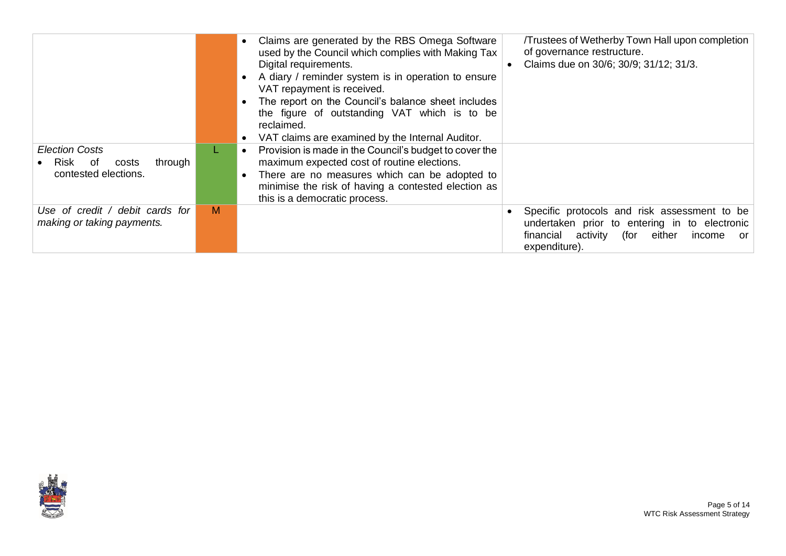|                                                                                |   | Claims are generated by the RBS Omega Software<br>used by the Council which complies with Making Tax<br>Digital requirements.<br>• A diary / reminder system is in operation to ensure<br>VAT repayment is received.<br>The report on the Council's balance sheet includes<br>the figure of outstanding VAT which is to be<br>reclaimed.<br>VAT claims are examined by the Internal Auditor. | Trustees of Wetherby Town Hall upon completion<br>of governance restructure.<br>Claims due on 30/6; 30/9; 31/12; 31/3.                                             |
|--------------------------------------------------------------------------------|---|----------------------------------------------------------------------------------------------------------------------------------------------------------------------------------------------------------------------------------------------------------------------------------------------------------------------------------------------------------------------------------------------|--------------------------------------------------------------------------------------------------------------------------------------------------------------------|
| <b>Election Costs</b><br>• Risk of<br>through<br>costs<br>contested elections. |   | Provision is made in the Council's budget to cover the<br>maximum expected cost of routine elections.<br>There are no measures which can be adopted to<br>minimise the risk of having a contested election as<br>this is a democratic process.                                                                                                                                               |                                                                                                                                                                    |
| Use of credit / debit cards for<br>making or taking payments.                  | M |                                                                                                                                                                                                                                                                                                                                                                                              | Specific protocols and risk assessment to be<br>undertaken prior to entering in to electronic<br>financial activity (for either<br>income<br>- or<br>expenditure). |

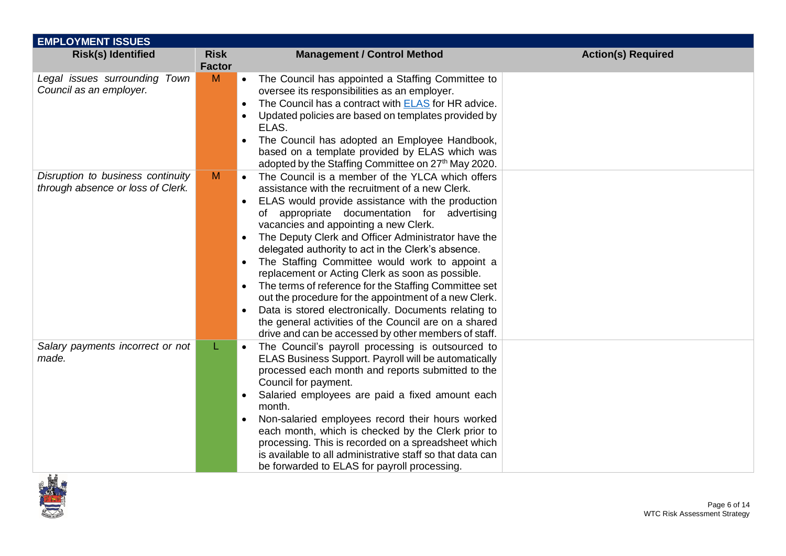| <b>EMPLOYMENT ISSUES</b>                                               |                              |                                                                                                                                                                                                                                                                                                                                                                                                                                                                                                                                                                                                                                                                                                                                                                              |                           |
|------------------------------------------------------------------------|------------------------------|------------------------------------------------------------------------------------------------------------------------------------------------------------------------------------------------------------------------------------------------------------------------------------------------------------------------------------------------------------------------------------------------------------------------------------------------------------------------------------------------------------------------------------------------------------------------------------------------------------------------------------------------------------------------------------------------------------------------------------------------------------------------------|---------------------------|
| <b>Risk(s) Identified</b>                                              | <b>Risk</b><br><b>Factor</b> | <b>Management / Control Method</b>                                                                                                                                                                                                                                                                                                                                                                                                                                                                                                                                                                                                                                                                                                                                           | <b>Action(s) Required</b> |
| Legal issues surrounding Town<br>Council as an employer.               | M                            | The Council has appointed a Staffing Committee to<br>$\bullet$<br>oversee its responsibilities as an employer.<br>The Council has a contract with <b>ELAS</b> for HR advice.<br>Updated policies are based on templates provided by<br>ELAS.<br>The Council has adopted an Employee Handbook,<br>based on a template provided by ELAS which was<br>adopted by the Staffing Committee on 27 <sup>th</sup> May 2020.                                                                                                                                                                                                                                                                                                                                                           |                           |
| Disruption to business continuity<br>through absence or loss of Clerk. | M                            | The Council is a member of the YLCA which offers<br>assistance with the recruitment of a new Clerk.<br>ELAS would provide assistance with the production<br>of appropriate documentation for advertising<br>vacancies and appointing a new Clerk.<br>The Deputy Clerk and Officer Administrator have the<br>$\bullet$<br>delegated authority to act in the Clerk's absence.<br>The Staffing Committee would work to appoint a<br>replacement or Acting Clerk as soon as possible.<br>The terms of reference for the Staffing Committee set<br>out the procedure for the appointment of a new Clerk.<br>Data is stored electronically. Documents relating to<br>the general activities of the Council are on a shared<br>drive and can be accessed by other members of staff. |                           |
| Salary payments incorrect or not<br>made.                              | L.                           | The Council's payroll processing is outsourced to<br>$\bullet$<br>ELAS Business Support. Payroll will be automatically<br>processed each month and reports submitted to the<br>Council for payment.<br>Salaried employees are paid a fixed amount each<br>month.<br>Non-salaried employees record their hours worked<br>$\bullet$<br>each month, which is checked by the Clerk prior to<br>processing. This is recorded on a spreadsheet which<br>is available to all administrative staff so that data can<br>be forwarded to ELAS for payroll processing.                                                                                                                                                                                                                  |                           |

<span id="page-5-0"></span>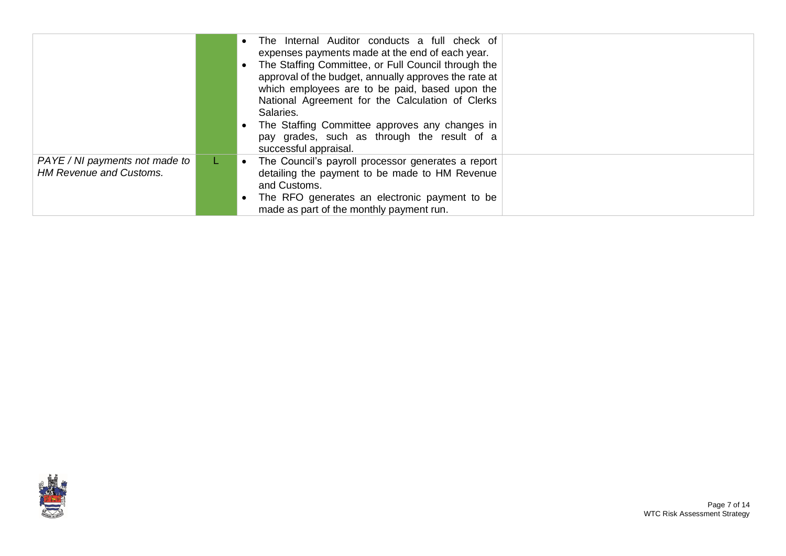|                                                                  | • The Internal Auditor conducts a full check of<br>expenses payments made at the end of each year.<br>The Staffing Committee, or Full Council through the<br>approval of the budget, annually approves the rate at<br>which employees are to be paid, based upon the<br>National Agreement for the Calculation of Clerks<br>Salaries.<br>• The Staffing Committee approves any changes in<br>pay grades, such as through the result of a<br>successful appraisal. |
|------------------------------------------------------------------|-------------------------------------------------------------------------------------------------------------------------------------------------------------------------------------------------------------------------------------------------------------------------------------------------------------------------------------------------------------------------------------------------------------------------------------------------------------------|
| PAYE / NI payments not made to<br><b>HM Revenue and Customs.</b> | • The Council's payroll processor generates a report<br>detailing the payment to be made to HM Revenue<br>and Customs.<br>• The RFO generates an electronic payment to be<br>made as part of the monthly payment run.                                                                                                                                                                                                                                             |

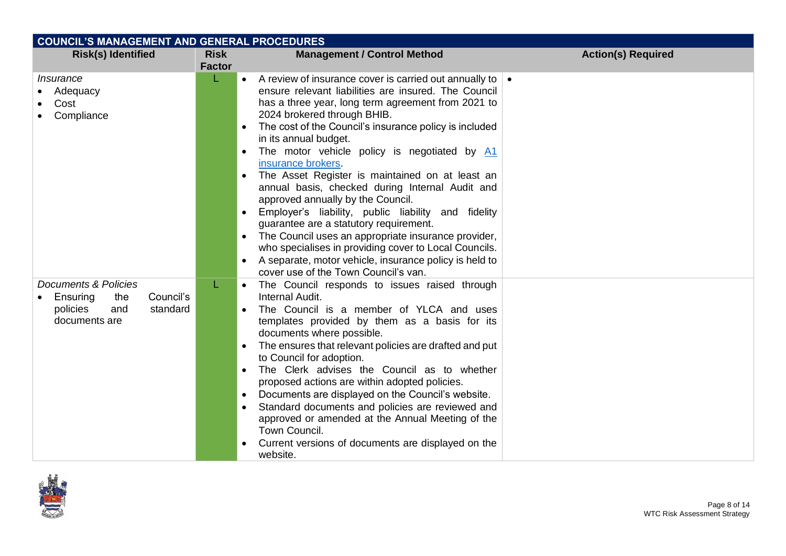| <b>COUNCIL'S MANAGEMENT AND GENERAL PROCEDURES</b>                                                   |                              |                                                                                                                                                                                                                                                                                                                                                                                                                                                                                                                                                                                                                                                                                                                                                                                                                                                       |                           |  |
|------------------------------------------------------------------------------------------------------|------------------------------|-------------------------------------------------------------------------------------------------------------------------------------------------------------------------------------------------------------------------------------------------------------------------------------------------------------------------------------------------------------------------------------------------------------------------------------------------------------------------------------------------------------------------------------------------------------------------------------------------------------------------------------------------------------------------------------------------------------------------------------------------------------------------------------------------------------------------------------------------------|---------------------------|--|
| <b>Risk(s) Identified</b>                                                                            | <b>Risk</b><br><b>Factor</b> | <b>Management / Control Method</b>                                                                                                                                                                                                                                                                                                                                                                                                                                                                                                                                                                                                                                                                                                                                                                                                                    | <b>Action(s) Required</b> |  |
| <i>Insurance</i><br>Adequacy<br>Cost<br>Compliance                                                   |                              | • A review of insurance cover is carried out annually to $\bullet$<br>ensure relevant liabilities are insured. The Council<br>has a three year, long term agreement from 2021 to<br>2024 brokered through BHIB.<br>The cost of the Council's insurance policy is included<br>in its annual budget.<br>The motor vehicle policy is negotiated by A1<br>$\bullet$<br>insurance brokers.<br>The Asset Register is maintained on at least an<br>annual basis, checked during Internal Audit and<br>approved annually by the Council.<br>• Employer's liability, public liability and fidelity<br>guarantee are a statutory requirement.<br>The Council uses an appropriate insurance provider,<br>who specialises in providing cover to Local Councils.<br>A separate, motor vehicle, insurance policy is held to<br>cover use of the Town Council's van. |                           |  |
| Documents & Policies<br>Council's<br>Ensuring<br>the<br>policies<br>standard<br>and<br>documents are | L.                           | The Council responds to issues raised through<br>Internal Audit.<br>The Council is a member of YLCA and uses<br>templates provided by them as a basis for its<br>documents where possible.<br>The ensures that relevant policies are drafted and put<br>to Council for adoption.<br>The Clerk advises the Council as to whether<br>proposed actions are within adopted policies.<br>• Documents are displayed on the Council's website.<br>Standard documents and policies are reviewed and<br>approved or amended at the Annual Meeting of the<br>Town Council.<br>Current versions of documents are displayed on the<br>website.                                                                                                                                                                                                                    |                           |  |

<span id="page-7-0"></span>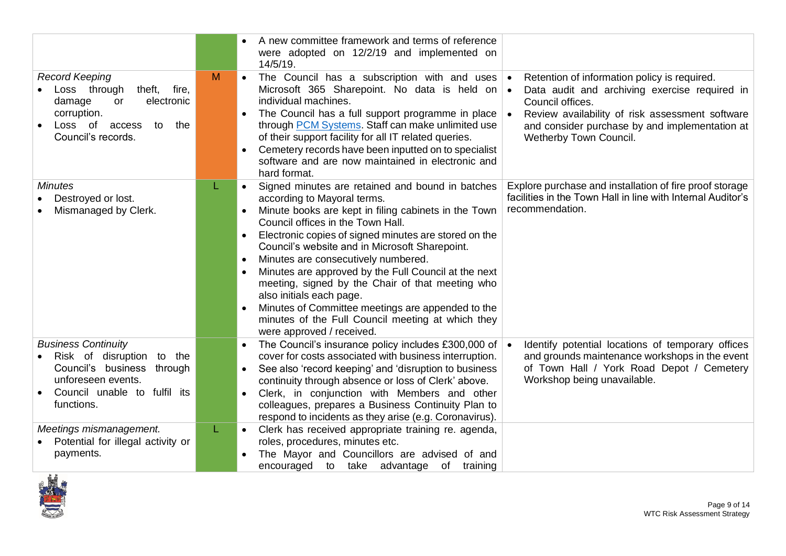|                                                                                                                                                                 |    | A new committee framework and terms of reference                                                                                                                                                                                                                                                                                                                                                                                                                                                                                                                                                                                                                                                                                                                                                                            |
|-----------------------------------------------------------------------------------------------------------------------------------------------------------------|----|-----------------------------------------------------------------------------------------------------------------------------------------------------------------------------------------------------------------------------------------------------------------------------------------------------------------------------------------------------------------------------------------------------------------------------------------------------------------------------------------------------------------------------------------------------------------------------------------------------------------------------------------------------------------------------------------------------------------------------------------------------------------------------------------------------------------------------|
|                                                                                                                                                                 |    | were adopted on 12/2/19 and implemented on<br>14/5/19.                                                                                                                                                                                                                                                                                                                                                                                                                                                                                                                                                                                                                                                                                                                                                                      |
| <b>Record Keeping</b><br>Loss through<br>theft, fire,<br>damage<br>or<br>electronic<br>corruption.<br>Loss of<br>access<br>to<br>the<br>Council's records.      | M  | The Council has a subscription with and uses $\cdot$<br>Retention of information policy is required.<br>$\bullet$<br>Microsoft 365 Sharepoint. No data is held on $\bullet$<br>Data audit and archiving exercise required in<br>individual machines.<br>Council offices.<br>The Council has a full support programme in place<br>Review availability of risk assessment software<br>∣∙<br>through <b>PCM</b> Systems. Staff can make unlimited use<br>and consider purchase by and implementation at<br>of their support facility for all IT related queries.<br>Wetherby Town Council.<br>Cemetery records have been inputted on to specialist<br>software and are now maintained in electronic and<br>hard format.                                                                                                        |
| <b>Minutes</b><br>Destroyed or lost.<br>Mismanaged by Clerk.                                                                                                    | L  | Explore purchase and installation of fire proof storage<br>Signed minutes are retained and bound in batches<br>$\bullet$<br>facilities in the Town Hall in line with Internal Auditor's<br>according to Mayoral terms.<br>recommendation.<br>Minute books are kept in filing cabinets in the Town<br>$\bullet$<br>Council offices in the Town Hall.<br>Electronic copies of signed minutes are stored on the<br>$\bullet$<br>Council's website and in Microsoft Sharepoint.<br>Minutes are consecutively numbered.<br>$\bullet$<br>Minutes are approved by the Full Council at the next<br>$\bullet$<br>meeting, signed by the Chair of that meeting who<br>also initials each page.<br>Minutes of Committee meetings are appended to the<br>minutes of the Full Council meeting at which they<br>were approved / received. |
| <b>Business Continuity</b><br>Risk of disruption<br>to the<br>Council's business<br>through<br>unforeseen events.<br>Council unable to fulfil its<br>functions. |    | The Council's insurance policy includes £300,000 of<br>Identify potential locations of temporary offices<br>cover for costs associated with business interruption.<br>and grounds maintenance workshops in the event<br>of Town Hall / York Road Depot / Cemetery<br>See also 'record keeping' and 'disruption to business<br>$\bullet$<br>Workshop being unavailable.<br>continuity through absence or loss of Clerk' above.<br>Clerk, in conjunction with Members and other<br>$\bullet$<br>colleagues, prepares a Business Continuity Plan to<br>respond to incidents as they arise (e.g. Coronavirus).                                                                                                                                                                                                                  |
| Meetings mismanagement.<br>Potential for illegal activity or<br>payments.                                                                                       | L. | Clerk has received appropriate training re. agenda,<br>$\bullet$<br>roles, procedures, minutes etc.<br>The Mayor and Councillors are advised of and<br>encouraged to take advantage of training                                                                                                                                                                                                                                                                                                                                                                                                                                                                                                                                                                                                                             |

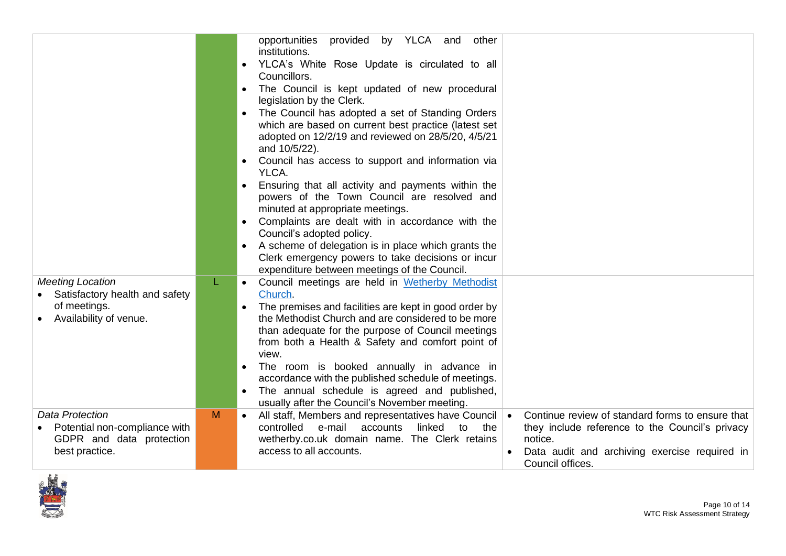|                                                           | L. | by YLCA<br>and<br>opportunities<br>provided<br>other<br>institutions.<br>YLCA's White Rose Update is circulated to all<br>$\bullet$<br>Councillors.<br>The Council is kept updated of new procedural<br>$\bullet$<br>legislation by the Clerk.<br>The Council has adopted a set of Standing Orders<br>$\bullet$<br>which are based on current best practice (latest set<br>adopted on 12/2/19 and reviewed on 28/5/20, 4/5/21<br>and 10/5/22).<br>Council has access to support and information via<br>YLCA.<br>Ensuring that all activity and payments within the<br>$\bullet$<br>powers of the Town Council are resolved and<br>minuted at appropriate meetings.<br>Complaints are dealt with in accordance with the<br>$\bullet$<br>Council's adopted policy.<br>A scheme of delegation is in place which grants the<br>$\bullet$<br>Clerk emergency powers to take decisions or incur<br>expenditure between meetings of the Council. |                                                                                                     |
|-----------------------------------------------------------|----|-------------------------------------------------------------------------------------------------------------------------------------------------------------------------------------------------------------------------------------------------------------------------------------------------------------------------------------------------------------------------------------------------------------------------------------------------------------------------------------------------------------------------------------------------------------------------------------------------------------------------------------------------------------------------------------------------------------------------------------------------------------------------------------------------------------------------------------------------------------------------------------------------------------------------------------------|-----------------------------------------------------------------------------------------------------|
| <b>Meeting Location</b><br>Satisfactory health and safety |    | Council meetings are held in Wetherby Methodist<br>$\bullet$<br>Church.                                                                                                                                                                                                                                                                                                                                                                                                                                                                                                                                                                                                                                                                                                                                                                                                                                                                   |                                                                                                     |
| of meetings.                                              |    | The premises and facilities are kept in good order by<br>$\bullet$                                                                                                                                                                                                                                                                                                                                                                                                                                                                                                                                                                                                                                                                                                                                                                                                                                                                        |                                                                                                     |
| Availability of venue.                                    |    | the Methodist Church and are considered to be more                                                                                                                                                                                                                                                                                                                                                                                                                                                                                                                                                                                                                                                                                                                                                                                                                                                                                        |                                                                                                     |
|                                                           |    | than adequate for the purpose of Council meetings                                                                                                                                                                                                                                                                                                                                                                                                                                                                                                                                                                                                                                                                                                                                                                                                                                                                                         |                                                                                                     |
|                                                           |    | from both a Health & Safety and comfort point of<br>view.                                                                                                                                                                                                                                                                                                                                                                                                                                                                                                                                                                                                                                                                                                                                                                                                                                                                                 |                                                                                                     |
|                                                           |    | The room is booked annually in advance in                                                                                                                                                                                                                                                                                                                                                                                                                                                                                                                                                                                                                                                                                                                                                                                                                                                                                                 |                                                                                                     |
|                                                           |    | accordance with the published schedule of meetings.                                                                                                                                                                                                                                                                                                                                                                                                                                                                                                                                                                                                                                                                                                                                                                                                                                                                                       |                                                                                                     |
|                                                           |    | The annual schedule is agreed and published,<br>$\bullet$                                                                                                                                                                                                                                                                                                                                                                                                                                                                                                                                                                                                                                                                                                                                                                                                                                                                                 |                                                                                                     |
| <b>Data Protection</b>                                    | M  | usually after the Council's November meeting.                                                                                                                                                                                                                                                                                                                                                                                                                                                                                                                                                                                                                                                                                                                                                                                                                                                                                             |                                                                                                     |
| Potential non-compliance with                             |    | All staff, Members and representatives have Council<br>$\bullet$<br>controlled<br>e-mail accounts<br>linked<br>to<br>the                                                                                                                                                                                                                                                                                                                                                                                                                                                                                                                                                                                                                                                                                                                                                                                                                  | Continue review of standard forms to ensure that<br>they include reference to the Council's privacy |
| GDPR and data protection                                  |    | wetherby.co.uk domain name. The Clerk retains                                                                                                                                                                                                                                                                                                                                                                                                                                                                                                                                                                                                                                                                                                                                                                                                                                                                                             | notice.                                                                                             |
| best practice.                                            |    | access to all accounts.                                                                                                                                                                                                                                                                                                                                                                                                                                                                                                                                                                                                                                                                                                                                                                                                                                                                                                                   | Data audit and archiving exercise required in                                                       |
|                                                           |    |                                                                                                                                                                                                                                                                                                                                                                                                                                                                                                                                                                                                                                                                                                                                                                                                                                                                                                                                           | Council offices.                                                                                    |

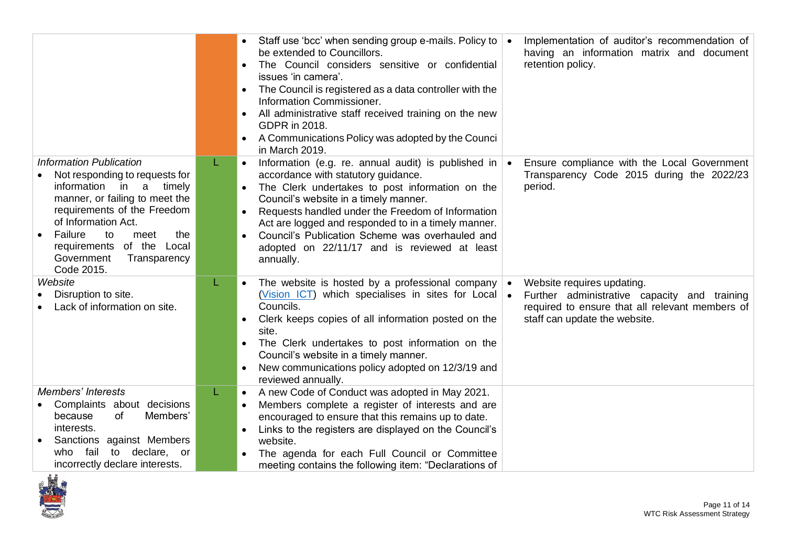|                                                                                                                                                                                                                                                                                                 |    | • Staff use 'bcc' when sending group e-mails. Policy to<br>be extended to Councillors.<br>The Council considers sensitive or confidential<br>issues 'in camera'.<br>The Council is registered as a data controller with the<br>Information Commissioner.<br>All administrative staff received training on the new<br>GDPR in 2018.<br>A Communications Policy was adopted by the Counci<br>in March 2019.                       |           | Implementation of auditor's recommendation of<br>having an information matrix and document<br>retention policy.                                                |
|-------------------------------------------------------------------------------------------------------------------------------------------------------------------------------------------------------------------------------------------------------------------------------------------------|----|---------------------------------------------------------------------------------------------------------------------------------------------------------------------------------------------------------------------------------------------------------------------------------------------------------------------------------------------------------------------------------------------------------------------------------|-----------|----------------------------------------------------------------------------------------------------------------------------------------------------------------|
| <b>Information Publication</b><br>Not responding to requests for<br>information in a<br>timely<br>manner, or failing to meet the<br>requirements of the Freedom<br>of Information Act.<br>Failure<br>to<br>the<br>meet<br>requirements of the Local<br>Government<br>Transparency<br>Code 2015. |    | Information (e.g. re. annual audit) is published in<br>$\bullet$<br>accordance with statutory guidance.<br>The Clerk undertakes to post information on the<br>Council's website in a timely manner.<br>Requests handled under the Freedom of Information<br>Act are logged and responded to in a timely manner.<br>Council's Publication Scheme was overhauled and<br>adopted on 22/11/17 and is reviewed at least<br>annually. | $\bullet$ | Ensure compliance with the Local Government<br>Transparency Code 2015 during the 2022/23<br>period.                                                            |
| Website<br>Disruption to site.<br>Lack of information on site.                                                                                                                                                                                                                                  |    | The website is hosted by a professional company<br>$\bullet$<br>(Vision ICT) which specialises in sites for Local $\bullet$<br>Councils.<br>Clerk keeps copies of all information posted on the<br>$\bullet$<br>site.<br>The Clerk undertakes to post information on the<br>Council's website in a timely manner.<br>New communications policy adopted on 12/3/19 and<br>$\bullet$<br>reviewed annually.                        | $\bullet$ | Website requires updating.<br>Further administrative capacity and training<br>required to ensure that all relevant members of<br>staff can update the website. |
| <b>Members' Interests</b><br>Complaints about decisions<br>of<br>Members'<br>because<br>interests.<br>Sanctions against Members<br>fail<br>to declare, or<br>who<br>incorrectly declare interests.                                                                                              | L. | A new Code of Conduct was adopted in May 2021.<br>$\bullet$<br>Members complete a register of interests and are<br>encouraged to ensure that this remains up to date.<br>Links to the registers are displayed on the Council's<br>website.<br>The agenda for each Full Council or Committee<br>meeting contains the following item: "Declarations of                                                                            |           |                                                                                                                                                                |

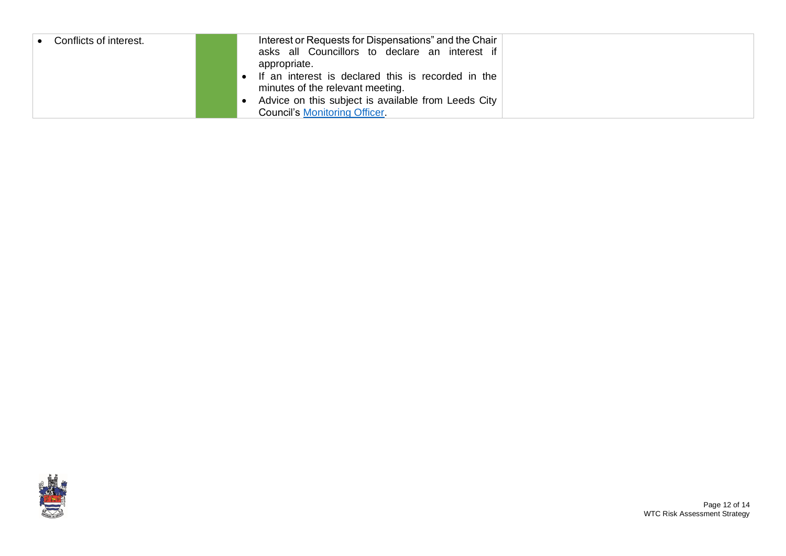| Conflicts of interest. | Interest or Requests for Dispensations" and the Chair<br>asks all Councillors to declare an interest if<br>appropriate. |  |
|------------------------|-------------------------------------------------------------------------------------------------------------------------|--|
|                        | • If an interest is declared this is recorded in the<br>minutes of the relevant meeting.                                |  |
|                        | Advice on this subject is available from Leeds City<br><b>Council's Monitoring Officer</b>                              |  |

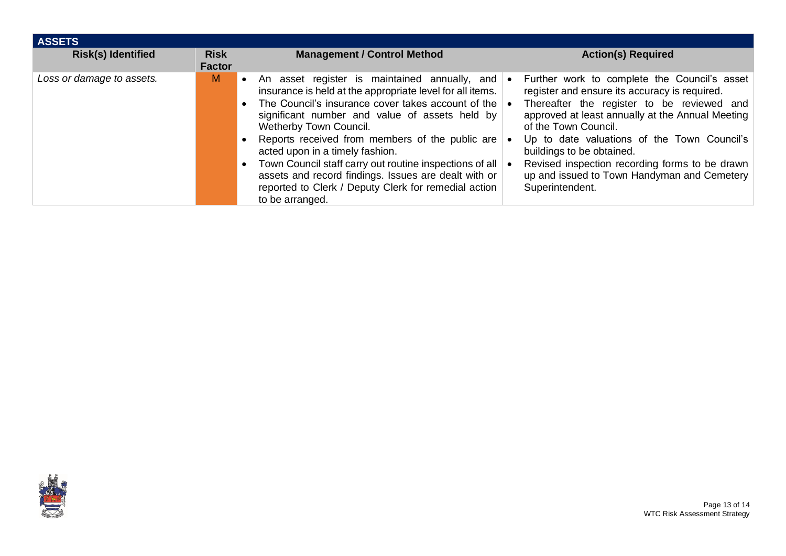| <b>ASSETS</b>             |                              |                                                                                                                                                                                                                                                                                                                                                                                                                                                                                                                                      |                                                                                                                                                                                                                                                                                                                                                                                                                         |
|---------------------------|------------------------------|--------------------------------------------------------------------------------------------------------------------------------------------------------------------------------------------------------------------------------------------------------------------------------------------------------------------------------------------------------------------------------------------------------------------------------------------------------------------------------------------------------------------------------------|-------------------------------------------------------------------------------------------------------------------------------------------------------------------------------------------------------------------------------------------------------------------------------------------------------------------------------------------------------------------------------------------------------------------------|
| <b>Risk(s) Identified</b> | <b>Risk</b><br><b>Factor</b> | <b>Management / Control Method</b>                                                                                                                                                                                                                                                                                                                                                                                                                                                                                                   | <b>Action(s) Required</b>                                                                                                                                                                                                                                                                                                                                                                                               |
| Loss or damage to assets. | M                            | • An asset register is maintained annually, and<br>insurance is held at the appropriate level for all items.<br>• The Council's insurance cover takes account of the<br>significant number and value of assets held by<br>Wetherby Town Council.<br>Reports received from members of the public are<br>acted upon in a timely fashion.<br>Town Council staff carry out routine inspections of all<br>assets and record findings. Issues are dealt with or<br>reported to Clerk / Deputy Clerk for remedial action<br>to be arranged. | Further work to complete the Council's asset<br>register and ensure its accuracy is required.<br>Thereafter the register to be reviewed and<br>approved at least annually at the Annual Meeting<br>of the Town Council.<br>Up to date valuations of the Town Council's<br>buildings to be obtained.<br>Revised inspection recording forms to be drawn<br>up and issued to Town Handyman and Cemetery<br>Superintendent. |

<span id="page-12-0"></span>